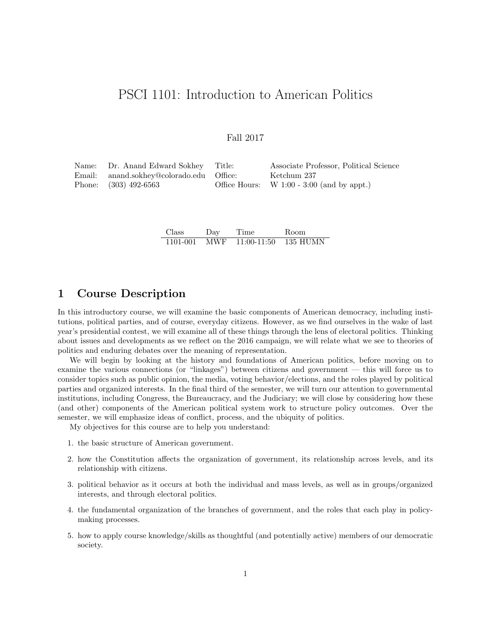# PSCI 1101: Introduction to American Politics

## Fall 2017

| Name: Dr. Anand Edward Sokhey Title:     | Associate Professor, Political Science       |
|------------------------------------------|----------------------------------------------|
| Email: anand.sokhey@colorado.edu Office: | Ketchum 237                                  |
| Phone: $(303)$ 492-6563                  | Office Hours: $W$ 1:00 - 3:00 (and by appt.) |

| Class    | Day | Time            | Room      |
|----------|-----|-----------------|-----------|
| 1101-001 |     | MWF 11:00-11:50 | -135 HUMN |

# 1 Course Description

In this introductory course, we will examine the basic components of American democracy, including institutions, political parties, and of course, everyday citizens. However, as we find ourselves in the wake of last year's presidential contest, we will examine all of these things through the lens of electoral politics. Thinking about issues and developments as we reflect on the 2016 campaign, we will relate what we see to theories of politics and enduring debates over the meaning of representation.

We will begin by looking at the history and foundations of American politics, before moving on to examine the various connections (or "linkages") between citizens and government — this will force us to consider topics such as public opinion, the media, voting behavior/elections, and the roles played by political parties and organized interests. In the final third of the semester, we will turn our attention to governmental institutions, including Congress, the Bureaucracy, and the Judiciary; we will close by considering how these (and other) components of the American political system work to structure policy outcomes. Over the semester, we will emphasize ideas of conflict, process, and the ubiquity of politics.

My objectives for this course are to help you understand:

- 1. the basic structure of American government.
- 2. how the Constitution affects the organization of government, its relationship across levels, and its relationship with citizens.
- 3. political behavior as it occurs at both the individual and mass levels, as well as in groups/organized interests, and through electoral politics.
- 4. the fundamental organization of the branches of government, and the roles that each play in policymaking processes.
- 5. how to apply course knowledge/skills as thoughtful (and potentially active) members of our democratic society.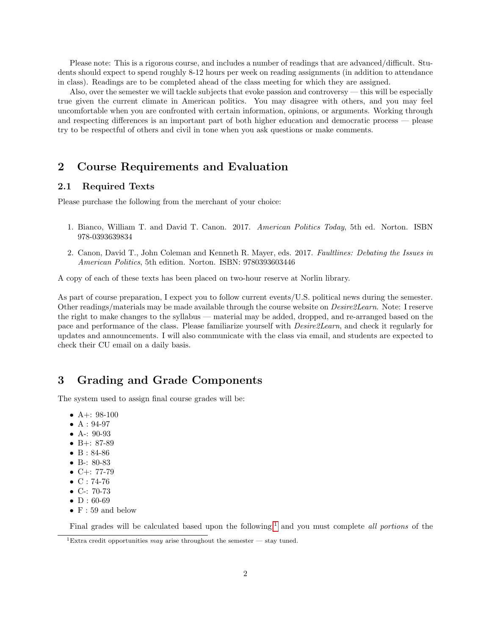Please note: This is a rigorous course, and includes a number of readings that are advanced/difficult. Students should expect to spend roughly 8-12 hours per week on reading assignments (in addition to attendance in class). Readings are to be completed ahead of the class meeting for which they are assigned.

Also, over the semester we will tackle subjects that evoke passion and controversy — this will be especially true given the current climate in American politics. You may disagree with others, and you may feel uncomfortable when you are confronted with certain information, opinions, or arguments. Working through and respecting differences is an important part of both higher education and democratic process — please try to be respectful of others and civil in tone when you ask questions or make comments.

# 2 Course Requirements and Evaluation

### 2.1 Required Texts

Please purchase the following from the merchant of your choice:

- 1. Bianco, William T. and David T. Canon. 2017. American Politics Today, 5th ed. Norton. ISBN 978-0393639834
- 2. Canon, David T., John Coleman and Kenneth R. Mayer, eds. 2017. Faultlines: Debating the Issues in American Politics, 5th edition. Norton. ISBN: 9780393603446

A copy of each of these texts has been placed on two-hour reserve at Norlin library.

As part of course preparation, I expect you to follow current events/U.S. political news during the semester. Other readings/materials may be made available through the course website on Desire2Learn. Note: I reserve the right to make changes to the syllabus — material may be added, dropped, and re-arranged based on the pace and performance of the class. Please familiarize yourself with Desire2Learn, and check it regularly for updates and announcements. I will also communicate with the class via email, and students are expected to check their CU email on a daily basis.

# 3 Grading and Grade Components

The system used to assign final course grades will be:

- A+:  $98-100$
- $A: 94-97$
- A-: 90-93
- B+: 87-89
- B: 84-86
- B-: 80-83
- $C+: 77-79$
- $C: 74-76$
- C-: 70-73
- $\bullet$  D : 60-69
- $F: 59$  and below

Final grades will be calculated based upon the following,<sup>[1](#page-1-0)</sup> and you must complete all portions of the

<span id="page-1-0"></span><sup>&</sup>lt;sup>1</sup>Extra credit opportunities may arise throughout the semester — stay tuned.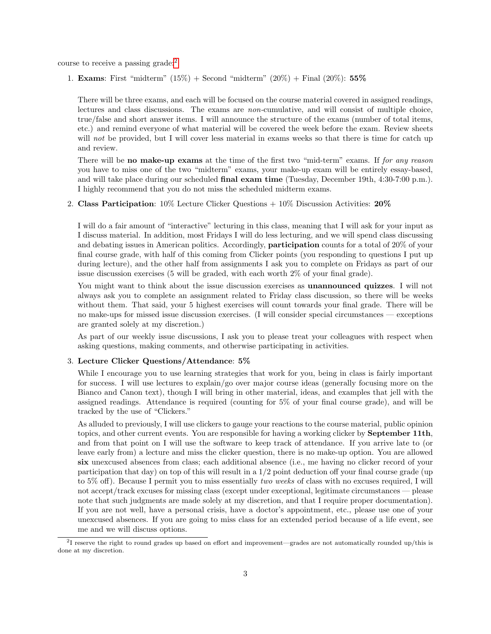course to receive a passing grade:[2](#page-2-0)

1. **Exams**: First "midterm"  $(15\%)$  + Second "midterm"  $(20\%)$  + Final  $(20\%)$ : 55%

There will be three exams, and each will be focused on the course material covered in assigned readings, lectures and class discussions. The exams are non-cumulative, and will consist of multiple choice, true/false and short answer items. I will announce the structure of the exams (number of total items, etc.) and remind everyone of what material will be covered the week before the exam. Review sheets will not be provided, but I will cover less material in exams weeks so that there is time for catch up and review.

There will be **no make-up exams** at the time of the first two "mid-term" exams. If for any reason you have to miss one of the two "midterm" exams, your make-up exam will be entirely essay-based, and will take place during our scheduled final exam time (Tuesday, December 19th, 4:30-7:00 p.m.). I highly recommend that you do not miss the scheduled midterm exams.

2. Class Participation:  $10\%$  Lecture Clicker Questions  $+10\%$  Discussion Activities:  $20\%$ 

I will do a fair amount of "interactive" lecturing in this class, meaning that I will ask for your input as I discuss material. In addition, most Fridays I will do less lecturing, and we will spend class discussing and debating issues in American politics. Accordingly, participation counts for a total of 20% of your final course grade, with half of this coming from Clicker points (you responding to questions I put up during lecture), and the other half from assignments I ask you to complete on Fridays as part of our issue discussion exercises (5 will be graded, with each worth 2% of your final grade).

You might want to think about the issue discussion exercises as unannounced quizzes. I will not always ask you to complete an assignment related to Friday class discussion, so there will be weeks without them. That said, your 5 highest exercises will count towards your final grade. There will be no make-ups for missed issue discussion exercises. (I will consider special circumstances — exceptions are granted solely at my discretion.)

As part of our weekly issue discussions, I ask you to please treat your colleagues with respect when asking questions, making comments, and otherwise participating in activities.

#### 3. Lecture Clicker Questions/Attendance: 5%

While I encourage you to use learning strategies that work for you, being in class is fairly important for success. I will use lectures to explain/go over major course ideas (generally focusing more on the Bianco and Canon text), though I will bring in other material, ideas, and examples that jell with the assigned readings. Attendance is required (counting for 5% of your final course grade), and will be tracked by the use of "Clickers."

As alluded to previously, I will use clickers to gauge your reactions to the course material, public opinion topics, and other current events. You are responsible for having a working clicker by September 11th, and from that point on I will use the software to keep track of attendance. If you arrive late to (or leave early from) a lecture and miss the clicker question, there is no make-up option. You are allowed six unexcused absences from class; each additional absence (i.e., me having no clicker record of your participation that day) on top of this will result in a  $1/2$  point deduction off your final course grade (up to 5% off). Because I permit you to miss essentially two weeks of class with no excuses required, I will not accept/track excuses for missing class (except under exceptional, legitimate circumstances — please note that such judgments are made solely at my discretion, and that I require proper documentation). If you are not well, have a personal crisis, have a doctor's appointment, etc., please use one of your unexcused absences. If you are going to miss class for an extended period because of a life event, see me and we will discuss options.

<span id="page-2-0"></span> $^{2}$ I reserve the right to round grades up based on effort and improvement—grades are not automatically rounded up/this is done at my discretion.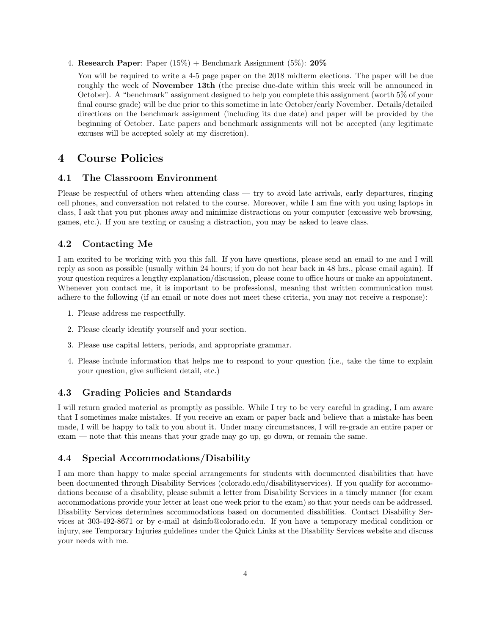4. Research Paper: Paper  $(15\%)$  + Benchmark Assignment  $(5\%)$ : 20%

You will be required to write a 4-5 page paper on the 2018 midterm elections. The paper will be due roughly the week of **November 13th** (the precise due-date within this week will be announced in October). A "benchmark" assignment designed to help you complete this assignment (worth 5% of your final course grade) will be due prior to this sometime in late October/early November. Details/detailed directions on the benchmark assignment (including its due date) and paper will be provided by the beginning of October. Late papers and benchmark assignments will not be accepted (any legitimate excuses will be accepted solely at my discretion).

# 4 Course Policies

#### 4.1 The Classroom Environment

Please be respectful of others when attending class — try to avoid late arrivals, early departures, ringing cell phones, and conversation not related to the course. Moreover, while I am fine with you using laptops in class, I ask that you put phones away and minimize distractions on your computer (excessive web browsing, games, etc.). If you are texting or causing a distraction, you may be asked to leave class.

### 4.2 Contacting Me

I am excited to be working with you this fall. If you have questions, please send an email to me and I will reply as soon as possible (usually within 24 hours; if you do not hear back in 48 hrs., please email again). If your question requires a lengthy explanation/discussion, please come to office hours or make an appointment. Whenever you contact me, it is important to be professional, meaning that written communication must adhere to the following (if an email or note does not meet these criteria, you may not receive a response):

- 1. Please address me respectfully.
- 2. Please clearly identify yourself and your section.
- 3. Please use capital letters, periods, and appropriate grammar.
- 4. Please include information that helps me to respond to your question (i.e., take the time to explain your question, give sufficient detail, etc.)

### 4.3 Grading Policies and Standards

I will return graded material as promptly as possible. While I try to be very careful in grading, I am aware that I sometimes make mistakes. If you receive an exam or paper back and believe that a mistake has been made, I will be happy to talk to you about it. Under many circumstances, I will re-grade an entire paper or exam — note that this means that your grade may go up, go down, or remain the same.

#### 4.4 Special Accommodations/Disability

I am more than happy to make special arrangements for students with documented disabilities that have been documented through Disability Services (colorado.edu/disabilityservices). If you qualify for accommodations because of a disability, please submit a letter from Disability Services in a timely manner (for exam accommodations provide your letter at least one week prior to the exam) so that your needs can be addressed. Disability Services determines accommodations based on documented disabilities. Contact Disability Services at 303-492-8671 or by e-mail at dsinfo@colorado.edu. If you have a temporary medical condition or injury, see Temporary Injuries guidelines under the Quick Links at the Disability Services website and discuss your needs with me.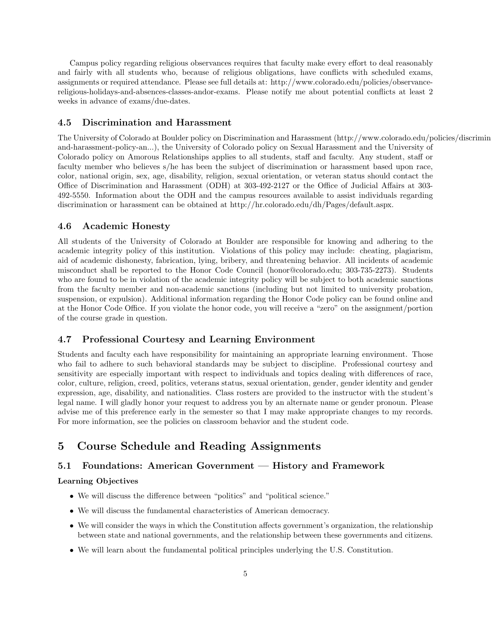Campus policy regarding religious observances requires that faculty make every effort to deal reasonably and fairly with all students who, because of religious obligations, have conflicts with scheduled exams, assignments or required attendance. Please see full details at: http://www.colorado.edu/policies/observancereligious-holidays-and-absences-classes-andor-exams. Please notify me about potential conflicts at least 2 weeks in advance of exams/due-dates.

#### 4.5 Discrimination and Harassment

The University of Colorado at Boulder policy on Discrimination and Harassment (http://www.colorado.edu/policies/discriminationand-harassment-policy-an...), the University of Colorado policy on Sexual Harassment and the University of Colorado policy on Amorous Relationships applies to all students, staff and faculty. Any student, staff or faculty member who believes s/he has been the subject of discrimination or harassment based upon race, color, national origin, sex, age, disability, religion, sexual orientation, or veteran status should contact the Office of Discrimination and Harassment (ODH) at 303-492-2127 or the Office of Judicial Affairs at 303- 492-5550. Information about the ODH and the campus resources available to assist individuals regarding discrimination or harassment can be obtained at http://hr.colorado.edu/dh/Pages/default.aspx.

#### 4.6 Academic Honesty

All students of the University of Colorado at Boulder are responsible for knowing and adhering to the academic integrity policy of this institution. Violations of this policy may include: cheating, plagiarism, aid of academic dishonesty, fabrication, lying, bribery, and threatening behavior. All incidents of academic misconduct shall be reported to the Honor Code Council (honor@colorado.edu; 303-735-2273). Students who are found to be in violation of the academic integrity policy will be subject to both academic sanctions from the faculty member and non-academic sanctions (including but not limited to university probation, suspension, or expulsion). Additional information regarding the Honor Code policy can be found online and at the Honor Code Office. If you violate the honor code, you will receive a "zero" on the assignment/portion of the course grade in question.

### 4.7 Professional Courtesy and Learning Environment

Students and faculty each have responsibility for maintaining an appropriate learning environment. Those who fail to adhere to such behavioral standards may be subject to discipline. Professional courtesy and sensitivity are especially important with respect to individuals and topics dealing with differences of race, color, culture, religion, creed, politics, veterans status, sexual orientation, gender, gender identity and gender expression, age, disability, and nationalities. Class rosters are provided to the instructor with the student's legal name. I will gladly honor your request to address you by an alternate name or gender pronoun. Please advise me of this preference early in the semester so that I may make appropriate changes to my records. For more information, see the policies on classroom behavior and the student code.

# 5 Course Schedule and Reading Assignments

### 5.1 Foundations: American Government — History and Framework

#### Learning Objectives

- We will discuss the difference between "politics" and "political science."
- We will discuss the fundamental characteristics of American democracy.
- We will consider the ways in which the Constitution affects government's organization, the relationship between state and national governments, and the relationship between these governments and citizens.
- We will learn about the fundamental political principles underlying the U.S. Constitution.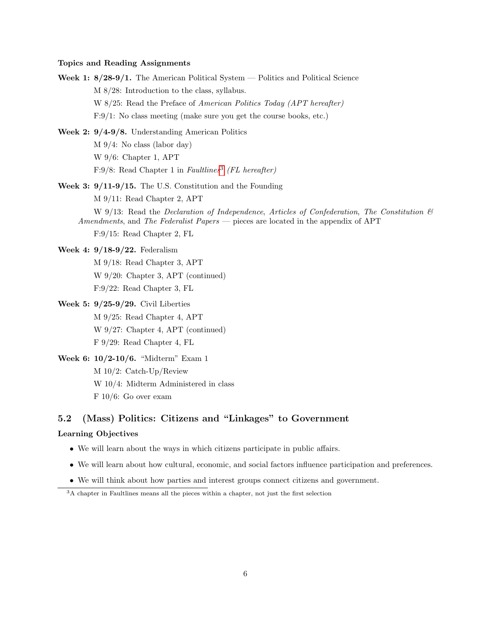#### Topics and Reading Assignments

- Week 1:  $8/28-9/1$ . The American Political System Politics and Political Science M 8/28: Introduction to the class, syllabus. W 8/25: Read the Preface of American Politics Today (APT hereafter) F:9/1: No class meeting (make sure you get the course books, etc.)
- Week 2: 9/4-9/8. Understanding American Politics M 9/4: No class (labor day) W 9/6: Chapter 1, APT F:9/8: Read Chapter 1 in Faultlines<sup>[3](#page-5-0)</sup> (FL hereafter)
- Week 3: 9/11-9/15. The U.S. Constitution and the Founding M 9/11: Read Chapter 2, APT
	- W 9/13: Read the Declaration of Independence, Articles of Confederation, The Constitution  $\mathcal{B}$ Amendments, and The Federalist Papers — pieces are located in the appendix of APT F:9/15: Read Chapter 2, FL
	-

Week 4: 9/18-9/22. Federalism

- M 9/18: Read Chapter 3, APT W 9/20: Chapter 3, APT (continued) F:9/22: Read Chapter 3, FL
- Week 5: 9/25-9/29. Civil Liberties
	- M 9/25: Read Chapter 4, APT W 9/27: Chapter 4, APT (continued) F 9/29: Read Chapter 4, FL
- Week 6: 10/2-10/6. "Midterm" Exam 1 M 10/2: Catch-Up/Review W 10/4: Midterm Administered in class F 10/6: Go over exam

# 5.2 (Mass) Politics: Citizens and "Linkages" to Government

### Learning Objectives

- We will learn about the ways in which citizens participate in public affairs.
- We will learn about how cultural, economic, and social factors influence participation and preferences.
- We will think about how parties and interest groups connect citizens and government.

<span id="page-5-0"></span><sup>&</sup>lt;sup>3</sup>A chapter in Faultlines means all the pieces within a chapter, not just the first selection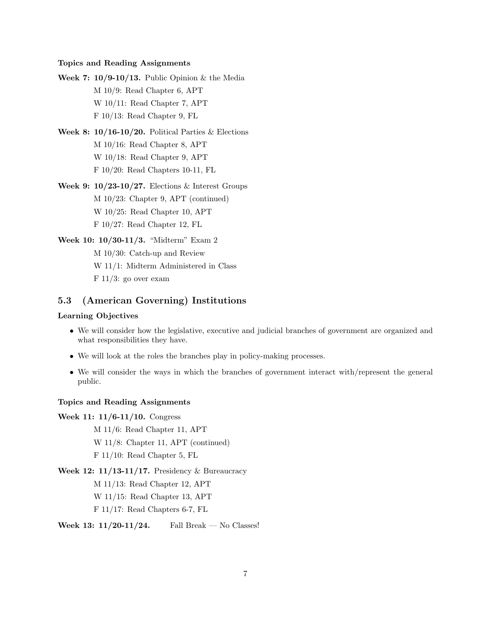#### Topics and Reading Assignments

Week 7:  $10/9-10/13$ . Public Opinion & the Media M 10/9: Read Chapter 6, APT W 10/11: Read Chapter 7, APT F 10/13: Read Chapter 9, FL

- Week 8:  $10/16-10/20$ . Political Parties & Elections M 10/16: Read Chapter 8, APT W 10/18: Read Chapter 9, APT F 10/20: Read Chapters 10-11, FL
- Week 9:  $10/23$ -10/27. Elections & Interest Groups M 10/23: Chapter 9, APT (continued) W 10/25: Read Chapter 10, APT F 10/27: Read Chapter 12, FL
- Week 10: 10/30-11/3. "Midterm" Exam 2 M 10/30: Catch-up and Review W 11/1: Midterm Administered in Class  $F$  11/3: go over exam

## 5.3 (American Governing) Institutions

# Learning Objectives

- We will consider how the legislative, executive and judicial branches of government are organized and what responsibilities they have.
- We will look at the roles the branches play in policy-making processes.
- We will consider the ways in which the branches of government interact with/represent the general public.

#### Topics and Reading Assignments

Week 11: 11/6-11/10. Congress

M 11/6: Read Chapter 11, APT

W 11/8: Chapter 11, APT (continued)

F 11/10: Read Chapter 5, FL

Week 12: 11/13-11/17. Presidency & Bureaucracy

M 11/13: Read Chapter 12, APT

W 11/15: Read Chapter 13, APT

F 11/17: Read Chapters 6-7, FL

Week 13:  $11/20-11/24$ . Fall Break — No Classes!